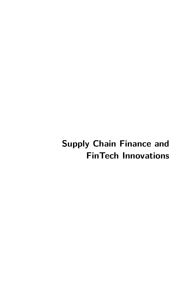# **Supply Chain Finance and FinTech Innovations**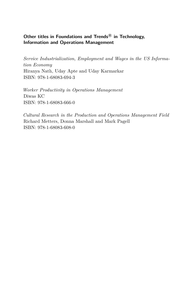### **Other titles in Foundations and Trends <sup>R</sup> in Technology, Information and Operations Management**

*Service Industrialization, Employment and Wages in the US Information Economy* Hiranya Nath, Uday Apte and Uday Karmarkar ISBN: 978-1-68083-694-3

*Worker Productivity in Operations Management* Diwas KC ISBN: 978-1-68083-666-0

*Cultural Research in the Production and Operations Management Field* Richard Metters, Donna Marshall and Mark Pagell ISBN: 978-1-68083-608-0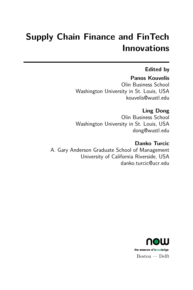# **Supply Chain Finance and FinTech Innovations**

## **Edited by**

## **Panos Kouvelis**

Olin Business School Washington University in St. Louis, USA kouvelis@wustl.edu

## **Ling Dong**

Olin Business School Washington University in St. Louis, USA dong@wustl.edu

## **Danko Turcic**

A. Gary Anderson Graduate School of Management University of California Riverside, USA danko.turcic@ucr.edu

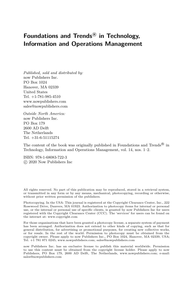## **Foundations and Trends <sup>R</sup> in Technology, Information and Operations Management**

*Published, sold and distributed by:* now Publishers Inc. PO Box 1024 Hanover, MA 02339 United States Tel. +1-781-985-4510 www.nowpublishers.com sales@nowpublishers.com

*Outside North America:* now Publishers Inc. PO Box 179 2600 AD Delft The Netherlands Tel. +31-6-51115274

The content of the book was originally published in Foundations and Trends<sup>®</sup> in Technology, Information and Operations Management, vol. 14, nos. 1–2.

ISBN: 978-1-68083-722-3 c 2020 Now Publishers Inc

All rights reserved. No part of this publication may be reproduced, stored in a retrieval system, or transmitted in any form or by any means, mechanical, photocopying, recording or otherwise, without prior written permission of the publishers.

Photocopying. In the USA: This journal is registered at the Copyright Clearance Center, Inc., 222 Rosewood Drive, Danvers, MA 01923. Authorization to photocopy items for internal or personal use, or the internal or personal use of specific clients, is granted by now Publishers Inc for users registered with the Copyright Clearance Center (CCC). The 'services' for users can be found on the internet at: www.copyright.com

For those organizations that have been granted a photocopy license, a separate system of payment has been arranged. Authorization does not extend to other kinds of copying, such as that for general distribution, for advertising or promotional purposes, for creating new collective works, or for resale. In the rest of the world: Permission to photocopy must be obtained from the copyright owner. Please apply to now Publishers Inc., PO Box 1024, Hanover, MA 02339, USA; Tel. +1 781 871 0245; www.nowpublishers.com; sales@nowpublishers.com

now Publishers Inc. has an exclusive license to publish this material worldwide. Permission to use this content must be obtained from the copyright license holder. Please apply to now Publishers, PO Box 179, 2600 AD Delft, The Netherlands, www.nowpublishers.com; e-mail: sales@nowpublishers.com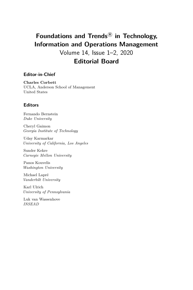## **Foundations and Trends <sup>R</sup> in Technology, Information and Operations Management**

Volume 14, Issue 1–2, 2020 **Editorial Board**

### **Editor-in-Chief**

**Charles Corbett** UCLA, Anderson School of Management United States

### **Editors**

Fernando Bernstein *Duke University*

Cheryl Gaimon *Georgia Institute of Technology*

Uday Karmarkar *University of California, Los Angeles*

Sunder Kekre *Carnegie Mellon University*

Panos Kouvelis *Washington University*

Michael Lapré *Vanderbilt University*

Karl Ulrich *University of Pennsylvania*

Luk van Wassenhove *INSEAD*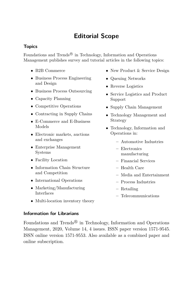## **Editorial Scope**

### **Topics**

Foundations and Trends<sup>®</sup> in Technology, Information and Operations Management publishes survey and tutorial articles in the following topics:

- B2B Commerce
- Business Process Engineering and Design
- Business Process Outsourcing
- Capacity Planning
- Competitive Operations
- Contracting in Supply Chains
- E-Commerce and E-Business Models
- Electronic markets, auctions and exchanges
- Enterprise Management Systems
- Facility Location
- Information Chain Structure and Competition
- International Operations
- Marketing/Manufacturing Interfaces
- New Product & Service Design
- Queuing Networks
- Reverse Logistics
- Service Logistics and Product Support
- Supply Chain Management
- Technology Management and Strategy
- Technology, Information and Operations in:
	- **–** Automotive Industries
	- **–** Electronics manufacturing
	- **–** Financial Services
	- **–** Health Care
	- **–** Media and Entertainment
	- **–** Process Industries
	- **–** Retailing
	- **–** Telecommunications
- Multi-location inventory theory

### **Information for Librarians**

Foundations and Trends<sup>®</sup> in Technology, Information and Operations Management, 2020, Volume 14, 4 issues. ISSN paper version 1571-9545. ISSN online version 1571-9553. Also available as a combined paper and online subscription.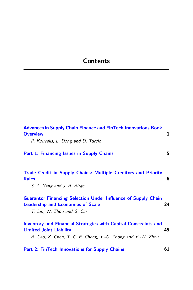## **Contents**

| <b>Advances in Supply Chain Finance and FinTech Innovations Book</b><br><b>Overview</b><br>P. Kouvelis, L. Dong and D. Turcic                                           | 1  |
|-------------------------------------------------------------------------------------------------------------------------------------------------------------------------|----|
| <b>Part 1: Financing Issues in Supply Chains</b>                                                                                                                        | 5  |
| <b>Trade Credit in Supply Chains: Multiple Creditors and Priority</b><br><b>Rules</b><br>S. A. Yang and J. R. Birge                                                     | 6  |
| <b>Guarantor Financing Selection Under Influence of Supply Chain</b><br><b>Leadership and Economies of Scale</b><br>T. Lin, W. Zhou and G. Cai                          | 24 |
| <b>Inventory and Financial Strategies with Capital Constraints and</b><br><b>Limited Joint Liability</b><br>B. Cao, X. Chen, T. C. E. Cheng, Y.-G. Zhong and Y.-W. Zhou | 45 |
| <b>Part 2: FinTech Innovations for Supply Chains</b>                                                                                                                    | 61 |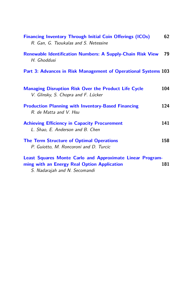| <b>Financing Inventory Through Initial Coin Offerings (ICOs)</b><br>R. Gan, G. Tsoukalas and S. Netessine | 62  |  |
|-----------------------------------------------------------------------------------------------------------|-----|--|
| <b>Renewable Identification Numbers: A Supply-Chain Risk View</b><br>H. Ghoddusi                          | 79  |  |
| Part 3: Advances in Risk Management of Operational Systems 103                                            |     |  |
| <b>Managing Disruption Risk Over the Product Life Cycle</b><br>V. Glinsky, S. Chopra and F. Lücker        | 104 |  |
| <b>Production Planning with Inventory-Based Financing</b><br>R. de Matta and V. Hsu                       | 124 |  |
| <b>Achieving Efficiency in Capacity Procurement</b><br>L. Shao, E. Anderson and B. Chen                   | 141 |  |
| <b>The Term Structure of Optimal Operations</b><br>P. Guiotto, M. Roncoroni and D. Turcic                 | 158 |  |
| Least Squares Monte Carlo and Approximate Linear Program-                                                 |     |  |

**[ming with an Energy Real Option Application](#page-47-0) 181** S. Nadarajah and N. Secomandi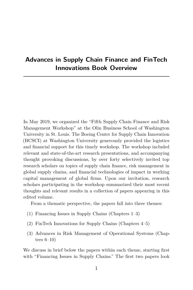## <span id="page-8-0"></span>**Advances in Supply Chain Finance and FinTech Innovations Book Overview**

In May 2019, we organized the "Fifth Supply Chain Finance and Risk Management Workshop" at the Olin Business School of Washington University in St. Louis. The Boeing Center for Supply Chain Innovation (BCSCI) at Washington University generously provided the logistics and financial support for this timely workshop. The workshop included relevant and state-of-the-art research presentations, and accompanying thought provoking discussions, by over forty selectively invited top research scholars on topics of supply chain finance, risk management in global supply chains, and financial technologies of impact in working capital management of global firms. Upon our invitation, research scholars participating in the workshop summarized their most recent thoughts and relevant results in a collection of papers appearing in this edited volume.

From a thematic perspective, the papers fall into three themes:

- (1) Financing Issues in Supply Chains (Chapters 1–3)
- (2) FinTech Innovations for Supply Chains (Chapters 4–5)
- (3) Advances in Risk Management of Operational Systems (Chapters 6–10)

We discuss in brief below the papers within each theme, starting first with "Financing Issues in Supply Chains." The first two papers look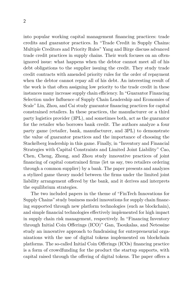into popular working capital management financing practices: trade credits and guarantor practices. In "Trade Credit in Supply Chains: Multiple Creditors and Priority Rules" Yang and Birge discuss advanced trade credit practices in supply chains. Their work focuses on an oftenignored issue: what happens when the debtor cannot meet all of his debt obligations to the supplier issuing the credit. They study trade credit contracts with amended priority rules for the order of repayment when the debtor cannot repay all of his debt. An interesting result of the work is that often assigning low priority to the trade credit in these instances many increase supply chain efficiency. In "Guarantor Financing Selection under Influence of Supply Chain Leadership and Economies of Scale" Lin, Zhou, and Cai study guarantor financing practices for capital constrained retailers. In these practices, the manufacturer or a third party logistics provider (3PL), and sometimes both, act as the guarantor for the retailer who borrows bank credit. The authors analyze a four party game (retailer, bank, manufacturer, and 3PL) to demonstrate the value of guarantor practices and the importance of choosing the Stackelberg leadership in this game. Finally, in "Inventory and Financial Strategies with Capital Constraints and Limited Joint Liability" Cao, Chen, Cheng, Zhong, and Zhou study innovative practices of joint financing of capital constrained firms (let us say, two retailers ordering through a common supplier) by a bank. The paper presents and analyzes a stylized game theory model between the firms under the limited joint liability arrangement offered by the bank, and it derives and interprets the equilibrium strategies.

The two included papers in the theme of "FinTech Innovations for Supply Chains" study business model innovations for supply chain financing supported through new platform technologies (such as blockchain), and simple financial technologies effectively implemented for high impact in supply chain risk management, respectively. In "Financing Inventory through Initial Coin Offerings (ICO)" Gan, Tsoukalas, and Netessine study an innovative approach to fundraising for entrepreneurial organizations with the use of digital tokens implemented on blockchain platforms. The so-called Initial Coin Offerings (ICOs) financing practice is a form of crowdfunding for the product the startup supports, with capital raised through the offering of digital tokens. The paper offers a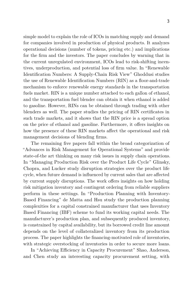simple model to explain the role of ICOs in matching supply and demand for companies involved in production of physical products. It analyzes operational decisions (number of tokens, pricing etc.) and implications for the firm and the investors. The paper concludes by warning that in the current unregulated environment, ICOs lead to risk-shifting incentives, underproduction, and potential loss of firm value. In "Renewable Identification Numbers: A Supply-Chain Risk View" Ghoddusi studies the use of Renewable Identification Numbers (RIN) as a floor-and-trade mechanism to enforce renewable energy standards in the transportation fuels market. RIN is a unique number attached to each gallon of ethanol, and the transportation fuel blender can obtain it when ethanol is added to gasoline. However, RINs can be obtained through trading with other blenders as well. The paper studies the pricing of RIN certificates in such trade markets, and it shows that the RIN price is a spread option on the price of ethanol and gasoline. Furthermore, it offers insights on how the presence of these RIN markets affect the operational and risk management decisions of blending firms.

The remaining five papers fall within the broad categorization of "Advances in Risk Management for Operational Systems" and provide state-of-the art thinking on many risk issues in supply chain operations. In "Managing Production Risk over the Product Life Cycle" Glinsky, Chopra, and Lucker study disruption strategies over the product life cycle, when future demand is influenced by current sales that are affected by current supply disruptions. The work offers insights on how holding risk mitigation inventory and contingent ordering from reliable suppliers perform in these settings. In "Production Planning with Inventory-Based Financing" de Matta and Hsu study the production planning complexities for a capital constrained manufacturer that uses Inventory Based Financing (IBF) scheme to fund its working capital needs. The manufacturer's production plan, and subsequently produced inventory, is constrained by capital availability, but its borrowed credit line amount depends on the level of collateralized inventory from its production process. The paper highlights the financing-motivated role of inventories, with strategic overstocking of inventories in order to secure more loans.

In "Achieving Efficiency in Capacity Procurement" Shao, Anderson, and Chen study an interesting capacity procurement setting, with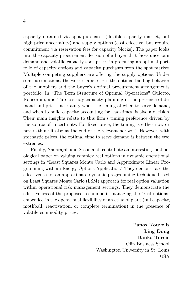capacity obtained via spot purchases (flexible capacity market, but high price uncertainty) and supply options (cost effective, but require commitment via reservation fees for capacity blocks). The paper looks into the capacity procurement decision of a buyer that faces uncertain demand and volatile capacity spot prices in procuring an optimal portfolio of capacity options and capacity purchases from the spot market. Multiple competing suppliers are offering the supply options. Under some assumptions, the work characterizes the optimal bidding behavior of the suppliers and the buyer's optimal procurement arrangements portfolio. In "The Term Structure of Optimal Operations" Guiotto, Roncoroni, and Turcic study capacity planning in the presence of demand and price uncertainty when the timing of when to serve demand, and when to build capacity accounting for lead-times, is also a decision. Their main insights relate to this firm's timing preference driven by the source of uncertainty. For fixed price, the timing is either now or never (think it also as the end of the relevant horizon). However, with stochastic prices, the optimal time to serve demand is between the two extremes.

Finally, Nadarajah and Secomandi contribute an interesting methodological paper on valuing complex real options in dynamic operational settings in "Least Squares Monte Carlo and Approximate Linear Programming with an Energy Options Application." They demonstrate the effectiveness of an approximate dynamic programming technique based on Least Squares Monte Carlo (LSM) approach for real option valuation within operational risk management settings. They demonstrate the effectiveness of the proposed technique in managing the "real options" embedded in the operational flexibility of an ethanol plant (full capacity, mothball, reactivation, or complete termination) in the presence of volatile commodity prices.

> **Panos Kouvelis Ling Dong Danko Turcic** Olin Business School Washington University in St. Louis USA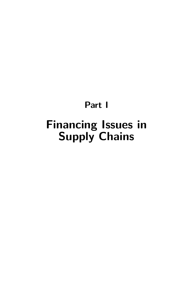# **Part I**

# <span id="page-12-0"></span>**Financing Issues in Supply Chains**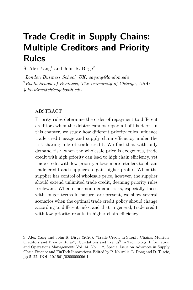## <span id="page-13-0"></span>**Trade Credit in Supply Chains: Multiple Creditors and Priority Rules**

S. Alex Yang<sup>1</sup> and John R. Birge<sup>2</sup>

<sup>1</sup>*London Business School, UK; sayang@london.edu* <sup>2</sup>*Booth School of Business, The University of Chicago, USA; john.birge@chicagobooth.edu*

### ABSTRACT

Priority rules determine the order of repayment to different creditors when the debtor cannot repay all of his debt. In this chapter, we study how different priority rules influence trade credit usage and supply chain efficiency under the risk-sharing role of trade credit. We find that with only demand risk, when the wholesale price is exogenous, trade credit with high priority can lead to high chain efficiency, yet trade credit with low priority allows more retailers to obtain trade credit and suppliers to gain higher profits. When the supplier has control of wholesale price, however, the supplier should extend unlimited trade credit, deeming priority rules irrelevant. When other non-demand risks, especially those with longer terms in nature, are present, we show several scenarios when the optimal trade credit policy should change according to different risks, and that in general, trade credit with low priority results in higher chain efficiency.

S. Alex Yang and John R. Birge (2020), "Trade Credit in Supply Chains: Multiple Creditors and Priority Rules", Foundations and Trends® in Technology, Information and Operations Management: Vol. 14, No. 1–2, Special Issue on Advances in Supply Chain Finance and FinTech Innovations. Edited by P. Kouvelis, L. Dong and D. Turcic, pp 5–22. DOI: 10.1561/0200000096-1.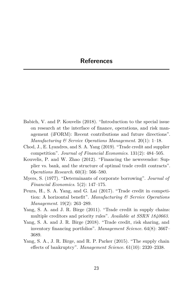- Babich, V. and P. Kouvelis (2018). "Introduction to the special issue on research at the interface of finance, operations, and risk management (iFORM): Recent contributions and future directions". *Manufacturing & Service Operations Management*. 20(1): 1–18.
- Chod, J., E. Lyandres, and S. A. Yang (2019). "Trade credit and supplier competition". *Journal of Financial Economics*. 131(2): 484–505.
- Kouvelis, P. and W. Zhao (2012). "Financing the newsvendor: Supplier vs. bank, and the structure of optimal trade credit contracts". *Operations Research*. 60(3): 566–580.
- Myers, S. (1977). "Determinants of corporate borrowing". *Journal of Financial Economics*. 5(2): 147–175.
- Peura, H., S. A. Yang, and G. Lai (2017). "Trade credit in competition: A horizontal benefit". *Manufacturing & Service Operations Management*. 19(2): 263–289.
- Yang, S. A. and J. R. Birge (2011). "Trade credit in supply chains: multiple creditors and priority rules". *Available at SSRN 1840663*.
- Yang, S. A. and J. R. Birge (2018). "Trade credit, risk sharing, and inventory financing portfolios". *Management Science*. 64(8): 3667– 3689.
- Yang, S. A., J. R. Birge, and R. P. Parker (2015). "The supply chain effects of bankruptcy". *Management Science*. 61(10): 2320–2338.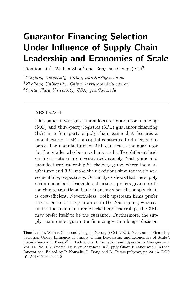# <span id="page-15-0"></span>**Guarantor Financing Selection Under Influence of Supply Chain Leadership and Economies of Scale**

Tiantian Lin<sup>1</sup>, Weihua Zhou<sup>2</sup> and Gangshu (George) Cai<sup>3</sup>

<sup>1</sup>*Zhejiang University, China; tiantlin@zju.edu.cn* <sup>2</sup>*Zhejiang University, China; larryzhou@zju.edu.cn* <sup>3</sup>*Santa Clara University, USA; gcai@scu.edu*

### ABSTRACT

This paper investigates manufacturer guarantor financing (MG) and third-party logistics (3PL) guarantor financing (LG) in a four-party supply chain game that features a manufacturer, a 3PL, a capital-constrained retailer, and a bank. The manufacturer or 3PL can act as the guarantor for the retailer who borrows bank credit. Two different leadership structures are investigated, namely, Nash game and manufacturer leadership Stackelberg game, where the manufacturer and 3PL make their decisions simultaneously and sequentially, respectively. Our analysis shows that the supply chain under both leadership structures prefers guarantor financing to traditional bank financing when the supply chain is cost-efficient. Nevertheless, both upstream firms prefer the other to be the guarantor in the Nash game, whereas under the manufacturer Stackelberg leadership, the 3PL may prefer itself to be the guarantor. Furthermore, the supply chain under guarantor financing with a longer decision

Tiantian Lin, Weihua Zhou and Gangshu (George) Cai (2020), "Guarantor Financing Selection Under Influence of Supply Chain Leadership and Economies of Scale", Foundations and Trends<sup>®</sup> in Technology, Information and Operations Management: Vol. 14, No. 1–2, Special Issue on Advances in Supply Chain Finance and FinTech Innovations. Edited by P. Kouvelis, L. Dong and D. Turcic pubyear, pp 23–43. DOI: 10.1561/0200000096-2.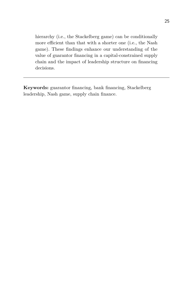hierarchy (i.e., the Stackelberg game) can be conditionally more efficient than that with a shorter one (i.e., the Nash game). These findings enhance our understanding of the value of guarantor financing in a capital-constrained supply chain and the impact of leadership structure on financing decisions.

**Keywords:** guarantor financing, bank financing, Stackelberg leadership, Nash game, supply chain finance.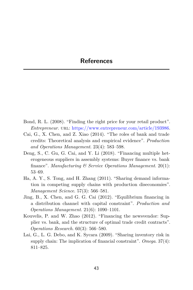- Bond, R. L. (2008). "Finding the right price for your retail product". *Entrepreneur.* URL: https://www.entrepreneur.com/article/193986.
- Cai, G., X. Chen, and Z. Xiao (2014). "The roles of bank and trade credits: Theoretical analysis and empirical evidence". *Production and Operations Management*. 23(4): 583–598.
- Deng, S., C. Gu, G. Cai, and Y. Li (2018). "Financing multiple heterogeneous suppliers in assembly systems: Buyer finance vs. bank finance". *Manufacturing & Service Operations Management*. 20(1): 53–69.
- Ha, A. Y., S. Tong, and H. Zhang (2011). "Sharing demand information in competing supply chains with production diseconomies". *Management Science*. 57(3): 566–581.
- Jing, B., X. Chen, and G. G. Cai (2012). "Equilibrium financing in a distribution channel with capital constraint". *Production and Operations Management*. 21(6): 1090–1101.
- Kouvelis, P. and W. Zhao (2012). "Financing the newsvendor: Supplier vs. bank, and the structure of optimal trade credit contracts". *Operations Research*. 60(3): 566–580.
- Lai, G., L. G. Debo, and K. Sycara (2009). "Sharing inventory risk in supply chain: The implication of financial constraint". *Omega*. 37(4): 811–825.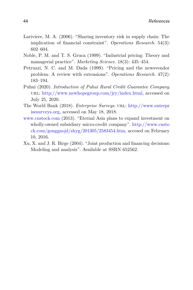- Lariviere, M. A. (2006). "Sharing inventory risk in supply chain: The implication of financial constraint". *Operations Research*. 54(3): 602–604.
- Noble, P. M. and T. S. Gruca (1999). "Industrial pricing: Theory and managerial practice". *Marketing Science*. 18(3): 435–454.
- Petruzzi, N. C. and M. Dada (1999). "Pricing and the newsvendor problem: A review with extensions". *Operations Research*. 47(2): 183–194.
- Puhui (2020). *Introduction of Puhui Rural Credit Guarantee Company*. url: http://www.newhopegroup.com/jry/index.html, accessed on July 25, 2020.
- The World Bank (2018). *Enterprise Surveys*. url: http://www.enterpr isesurveys.org, accessed on May 18, 2018.
- www.cnstock.com (2013). "Eternal Asia plans to expand investment on wholly-owned subsidiary micro-credit company". http://www.cnsto ck.com/gonggaojd/zkyg/201305/2583454.htm, accesed on February 10, 2016.
- Xu, X. and J. R. Birge (2004). "Joint production and financing decisions: Modeling and analysis". Available at SSRN 652562.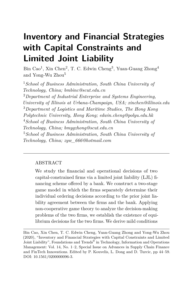# <span id="page-19-0"></span>**Inventory and Financial Strategies with Capital Constraints and Limited Joint Liability**

Bin Cao<sup>1</sup>, Xin Chen<sup>2</sup>, T. C. Edwin Cheng<sup>3</sup>, Yuan-Guang Zhong<sup>4</sup> and Yong-Wu Zhou<sup>5</sup>

<sup>1</sup>*School of Business Administration, South China University of Technology, China; bmbinc@scut.edu.cn*

<sup>2</sup>*Department of Industrial Enterprise and Systems Engineering, University of Illinois at Urbana-Champaign, USA; xinchen@illinois.edu* <sup>3</sup>*Department of Logistics and Maritime Studies, The Hong Kong Polytechnic University, Hong Kong; edwin.cheng@polyu.edu.hk* <sup>4</sup>*School of Business Administration, South China University of Technology, China; bmygzhong@scut.edu.cn* <sup>5</sup>*School of Business Administration, South China University of Technology, China; zyw\_666@hotmail.com*

### ABSTRACT

We study the financial and operational decisions of two capital-constrained firms via a limited joint liability (LJL) financing scheme offered by a bank. We construct a two-stage game model in which the firms separately determine their individual ordering decisions according to the prior joint liability agreement between the firms and the bank. Applying non-cooperative game theory to analyze the decision-making problems of the two firms, we establish the existence of equilibrium decisions for the two firms. We derive mild conditions

Bin Cao, Xin Chen, T. C. Edwin Cheng, Yuan-Guang Zhong and Yong-Wu Zhou (2020), "Inventory and Financial Strategies with Capital Constraints and Limited Joint Liability", Foundations and Trends<sup>®</sup> in Technology, Information and Operations Management: Vol. 14, No. 1–2, Special Issue on Advances in Supply Chain Finance and FinTech Innovations. Edited by P. Kouvelis, L. Dong and D. Turcic, pp 44–59. DOI: 10.1561/0200000096-3.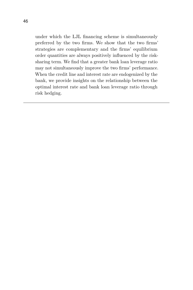under which the LJL financing scheme is simultaneously preferred by the two firms. We show that the two firms' strategies are complementary and the firms' equilibrium order quantities are always positively influenced by the risksharing term. We find that a greater bank loan leverage ratio may not simultaneously improve the two firms' performance. When the credit line and interest rate are endogenized by the bank, we provide insights on the relationship between the optimal interest rate and bank loan leverage ratio through risk hedging.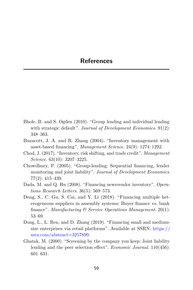- Bhole, B. and S. Ogden (2010). "Group lending and individual lending with strategic default". *Journal of Development Economics*. 91(2): 348–363.
- Buzacott, J. A. and R. Zhang (2004). "Inventory management with asset-based financing". *Management Science*. 24(9): 1274–1292.
- Chod, J. (2017). "Inventory, risk shifting, and trade credit". *Management Science*. 63(10): 3207–3225.
- Chowdhury, P. (2005). "Group-lending: Sequential financing, lender monitoring and joint liability". *Journal of Development Economics*. 77(2): 415–439.
- Dada, M. and Q. Hu (2008). "Financing newsvendor inventory". *Operations Research Letters*. 36(5): 569–573.
- Deng, S., C. Gu, S. Cai, and Y. Li (2018). "Financing multiple heterogeneous suppliers in assembly systems: Buyer finance vs. bank finance". *Manufacturing & Service Operations Management*. 20(1): 53–69.
- Dong, L., L. Ren, and D. Zhang (2019). "Financing small and mediumsize enterprises via retail platforms". Available at SSRN: https:// ssrn.com/abstract=3257899.
- Ghatak, M. (2000). "Screening by the company you keep: Joint liability lending and the peer selection effect". *Economic Journal*. 110(456): 601–631.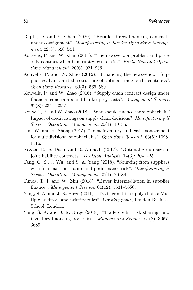- Gupta, D. and Y. Chen (2020). "Retailer-direct financing contracts under consignment". *Manufacturing & Service Operations Management*. 22(3): 528–544.
- Kouvelis, P. and W. Zhao (2011). "The newsvendor problem and priceonly contract when bankruptcy costs exist". *Production and Operations Management*. 20(6): 921–936.
- Kouvelis, P. and W. Zhao (2012). "Financing the newsvendor: Supplier vs. bank, and the structure of optimal trade credit contracts". *Operations Research*. 60(3): 566–580.
- Kouvelis, P. and W. Zhao (2016). "Supply chain contract design under financial constraints and bankruptcy costs". *Management Science*. 62(8): 2341–2357.
- Kouvelis, P. and W. Zhao (2018). "Who should finance the supply chain? Impact of credit ratings on supply chain decisions". *Manufacturing & Service Operations Management*. 20(1): 19–35.
- Luo, W. and K. Shang (2015). "Joint inventory and cash management for multidivisional supply chains". *Operations Research*. 63(5): 1098– 1116.
- Rezaei, B., S. Dasu, and R. Ahmadi (2017). "Optimal group size in joint liability contracts". *Decision Analysis*. 14(3): 204–225.
- Tang, C. S., J. Wu, and S. A. Yang (2018). "Sourcing from suppliers with financial constraints and performance risk". *Manufacturing & Service Operations Management*. 20(1): 70–84.
- Tunca, T. I. and W. Zhu (2018). "Buyer intermediation in supplier finance". *Management Science*. 64(12): 5631–5650.
- Yang, S. A. and J. R. Birge (2011). "Trade credit in supply chains: Multiple creditors and priority rules". *Working paper*, London Business School, London.
- Yang, S. A. and J. R. Birge (2018). "Trade credit, risk sharing, and inventory financing portfolios". *Management Science*. 64(8): 3667– 3689.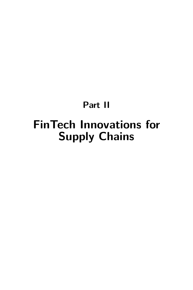# <span id="page-23-0"></span>**Part II FinTech Innovations for Supply Chains**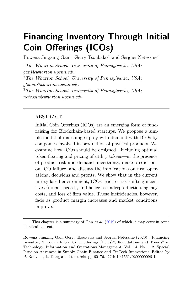# <span id="page-24-0"></span>**Financing Inventory Through Initial Coin Offerings (ICOs)**

Rowena Jingxing  $\text{Gan}^1$ ,  $\text{Gerry}$  Tsoukalas<sup>2</sup> and Serguei Netessine<sup>3</sup>

<sup>1</sup>*The Wharton School, University of Pennsylvania, USA; ganj@wharton.upenn.edu* <sup>2</sup>*The Wharton School, University of Pennsylvania, USA; gtsouk@wharton.upenn.edu* <sup>3</sup>*The Wharton School, University of Pennsylvania, USA; netessin@wharton.upenn.edu*

### ABSTRACT

Initial Coin Offerings (ICOs) are an emerging form of fundraising for Blockchain-based startups. We propose a simple model of matching supply with demand with ICOs by companies involved in production of physical products. We examine how ICOs should be designed—including optimal token floating and pricing of utility tokens—in the presence of product risk and demand uncertainty, make predictions on ICO failure, and discuss the implications on firm operational decisions and profits. We show that in the current unregulated environment, ICOs lead to risk-shifting incentives (moral hazard), and hence to underproduction, agency costs, and loss of firm value. These inefficiencies, however, fade as product margin increases and market conditions improve.<sup>1</sup>

<sup>&</sup>lt;sup>1</sup>This chapter is a summary of Gan *et al.* (2019) of which it may contain some identical content.

Rowena Jingxing Gan, Gerry Tsoukalas and Serguei Netessine (2020), "Financing Inventory Through Initial Coin Offerings (ICOs)", Foundations and Trends<sup>®</sup> in Technology, Information and Operations Management: Vol. 14, No. 1–2, Special Issue on Advances in Supply Chain Finance and FinTech Innovations. Edited by P. Kouvelis, L. Dong and D. Turcic, pp 60–76. DOI: 10.1561/0200000096-4.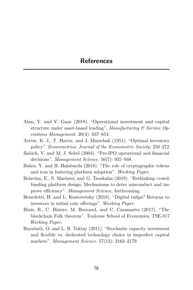- Alan, Y. and V. Gaur (2018). "Operational investment and capital structure under asset-based lending". *Manufacturing & Service Operations Management*. 20(4): 637–654.
- Arrow, K. J., T. Harris, and J. Marschak (1951). "Optimal inventory policy". *Econometrica: Journal of the Econometric Society*: 250–272.
- Babich, V. and M. J. Sobel (2004). "Pre-IPO operational and financial decisions". *Management Science*. 50(7): 935–948.
- Bakos, Y. and H. Halaburda (2018). "The role of cryptographic tokens and icos in fostering platform adoption". *Working Paper*.
- Belavina, E., S. Marinesi, and G. Tsoukalas (2019). "Rethinking crowdfunding platform design: Mechanisms to deter misconduct and improve efficiency". *Management Science,* forthcoming.
- Benedetti, H. and L. Kostovetsky (2018). "Digital tulips? Returns to investors in initial coin offerings". *Working Paper*.
- Biais, B., C. Bisiere, M. Bouvard, and C. Casamatta (2017). "The blockchain Folk theorem". Toulouse School of Economics, TSE-817 *Working Paper*.
- Boyabatlı, O. and L. B. Toktay (2011). "Stochastic capacity investment and flexible vs. dedicated technology choice in imperfect capital markets". *Management Science*. 57(12): 2163–2179.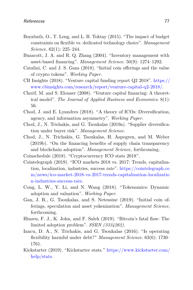- Boyabatlı, O., T. Leng, and L. B. Toktay (2015). "The impact of budget constraints on flexible vs. dedicated technology choice". *Management Science*. 62(1): 225–244.
- Buzacott, J. A. and R. Q. Zhang (2004). "Inventory management with asset-based financing". *Management Science*. 50(9): 1274–1292.
- Catalini, C. and J. S. Gans (2018). "Initial coin offerings and the value of crypto tokens". *Working Paper*.
- CB Insights (2018). "Venture capital funding report Q2 2018". https:// www.cbinsights.com/research/report/venture-capital-q2-2018/.
- Cherif, M. and S. Elouaer (2008). "Venture capital financing: A theoretical model". *The Journal of Applied Business and Economics*. 8(1): 56.
- Chod, J. and E. Lyandres (2018). "A theory of ICOs: Diversification, agency, and information asymmetry". *Working Paper*.
- Chod, J., N. Trichakis, and G. Tsoukalas (2019a). "Supplier diversification under buyer risk". *Management Science*.
- Chod, J., N. Trichakis, G. Tsoukalas, H. Aspegren, and M. Weber (2019b). "On the financing benefits of supply chain transparency and blockchain adoption". *Management Science,* forthcoming.
- Coinschedule (2018). "Cryptocurrency ICO stats 2018".
- Cointelegraph (2019). "ICO markets 2018 vs. 2017: Trends, capitalization, localization, industries, success rate". https://cointelegraph.co m/news/ico-market-2018-vs-2017-trends-capitalization-localizatio n-industries-success-rate.
- Cong, L. W., Y. Li, and N. Wang (2018). "Tokenomics: Dynamic adoption and valuation". *Working Paper*.
- Gan, J. R., G. Tsoukalas, and S. Netessine (2019). "Initial coin offerings, speculation and asset yokenization". *Management Science,* forthcoming.
- Hinzen, F. J., K. John, and F. Saleh (2019). "Bitcoin's fatal flaw: The limited adoption problem". *SSRN (3334262)*.
- Iancu, D. A., N. Trichakis, and G. Tsoukalas (2016). "Is operating flexibility harmful under debt?" *Management Science*. 63(6): 1730– 1761.
- Kickstarter (2019). "Kickstarter stats." https://www.kickstarter.com/ help/stats.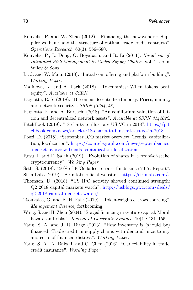- Kouvelis, P. and W. Zhao (2012). "Financing the newsvendor: Supplier vs. bank, and the structure of optimal trade credit contracts". *Operations Research*. 60(3): 566–580.
- Kouvelis, P., L. Dong, O. Boyabatli, and R. Li (2011). *Handbook of Integrated Risk Management in Global Supply Chains*. Vol. 1. John Wiley & Sons.
- Li, J. and W. Mann (2018). "Initial coin offering and platform building". *Working Paper*.
- Malinova, K. and A. Park (2018). "Tokenomics: When tokens beat equity". *Available at SSRN*.
- Pagnotta, E. S. (2018). "Bitcoin as decentralized money: Prices, mining, and network security". *SSRN (3264448)*.
- Pagnotta, E. and A. Buraschi (2018). "An equilibrium valuation of bitcoin and decentralized network assets". *Available at SSRN 3142022*.
- PitchBook (2019). "18 charts to illustrate US VC in 2018". https://pit chbook.com/news/articles/18-charts-to-illustrate-us-vc-in-2018.
- Pozzi, D. (2018). "September ICO market overview: Trends, capitalization, localization". https://cointelegraph.com/news/september-ico -market-overview-trends-capitalization-localization.
- Rosu, I. and F. Saleh (2019). "Evolution of shares in a proof-of-stake cryptocurrency". *Working Paper*.
- Seth, S. (2018). "50% of ICOs failed to raise funds since 2017: Report".
- Sirin Labs (2019). "Sirin labs official website". https://sirinlabs.com/.
- Thomson, D. (2018). "US IPO activity showed continued strength: Q2 2018 capital markets watch". http://usblogs.pwc.com/deals/ q2-2018-capital-markets-watch/.
- Tsoukalas, G. and B. H. Falk (2019). "Token-weighted crowdsourcing". *Management Science,* forthcoming.
- Wang, S. and H. Zhou (2004). "Staged financing in venture capital: Moral hazard and risks". *Journal of Corporate Finance*. 10(1): 131–155.
- Yang, S. A. and J. R. Birge (2013). "How inventory is (should be) financed: Trade credit in supply chains with demand uncertainty and costs of financial distress". *Working Paper*.
- Yang, S. A., N. Bakshi, and C. Chen (2016). "Cancelability in trade credit insurance". *Working Paper*.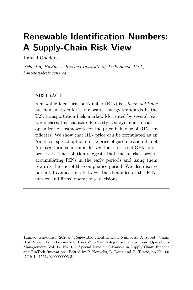# <span id="page-28-0"></span>**Renewable Identification Numbers: A Supply-Chain Risk View**

Hamed Ghoddusi

*School of Business, Stevens Institute of Technology, USA; hghoddus@stevens.edu*

### ABSTRACT

Renewable Identification Number (RIN) is a *floor-and-trade* mechanism to enforce renewable energy standards in the U.S. transportation fuels market. Motivated by several realworld cases, this chapter offers a stylized dynamic stochastic optimization framework for the price behavior of RIN certificates. We show that RIN price can be formulated as an American spread option on the price of gasoline and ethanol. A closed-form solution is derived for the case of GBM price processes. The solution suggests that the market prefers accumulating RINs in the early periods and using them towards the end of the compliance period. We also discuss potential connections between the dynamics of the RINs market and firms' operational decisions.

Hamed Ghoddusi (2020), "Renewable Identification Numbers: A Supply-Chain Risk View", Foundations and Trends® in Technology, Information and Operations Management: Vol. 14, No. 1–2, Special Issue on Advances in Supply Chain Finance and FinTech Innovations. Edited by P. Kouvelis, L. Dong and D. Turcic, pp 77–100. DOI: 10.1561/0200000096-5.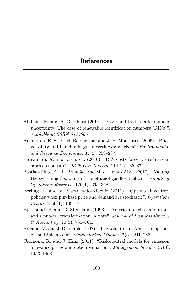- Afkhami, M. and H. Ghoddusi (2018). "Floor-and-trade markets under uncertainty: The case of renewable identification numbers (RINs)". *Available at SSRN 3143805*.
- Amundsen, E. S., F. M. Baldursson, and J. B. Mortensen (2006). "Price volatility and banking in green certificate markets". *Environmental and Resource Economics*. 35(4): 259–287.
- Barsamian, A. and L. Curcio (2016). "RIN costs force US refiners to assess responses". *Oil & Gas Journal*. 114(12): 35–37.
- Bastian-Pinto, C., L. Brandão, and M. de Lemos Alves (2010). "Valuing the switching flexibility of the ethanol-gas flex fuel car". *Annals of Operations Research*. 176(1): 333–348.
- Berling, P. and V. Martnez-de-Albéniz (2011). "Optimal inventory policies when purchase price and demand are stochastic". *Operations Research*. 59(1): 109–124.
- Bjerksund, P. and G. Stensland (1993). "American exchange options and a put-call transformation: A note". *Journal of Business Finance & Accounting*. 20(5): 761–764.
- Broadie, M. and J. Detemple (1997). "The valuation of American options on multiple assets". *Mathematical Finance*. 7(3): 241–286.
- Carmona, R. and J. Hinz (2011). "Risk-neutral models for emission allowance prices and option valuation". *Management Science*. 57(8): 1453–1468.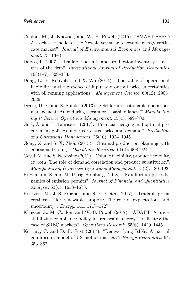- Coulon, M., J. Khazaei, and W. B. Powell (2015). "SMART-SREC: A stochastic model of the New Jersey solar renewable energy certificate market". *Journal of Environmental Economics and Management*. 73: 13–31.
- Dobos, I. (2007). "Tradable permits and production-inventory strategies of the firm". *International Journal of Production Economics*. 108(1–2): 329–333.
- Dong, L., P. Kouvelis, and X. Wu (2014). "The value of operational flexibility in the presence of input and output price uncertainties with oil refining applications". *Management Science*. 60(12): 2908– 2926.
- Drake, D. F. and S. Spinler (2013). "OM forum-sustainable operations management: An enduring stream or a passing fancy?" *Manufacturing & Service Operations Management*. 15(4): 689–700.
- Goel, A. and F. Tanrisever (2017). "Financial hedging and optimal procurement policies under correlated price and demand". *Production and Operations Management*. 26(10): 1924–1945.
- Gong, X. and S. X. Zhou (2013). "Optimal production planning with emissions trading". *Operations Research*. 61(4): 908–924.
- Goyal, M. and S. Netessine (2011). "Volume flexibility, product flexibility, or both: The role of demand correlation and product substitution". *Manufacturing & Service Operations Management*. 13(2): 180–193.
- Hitzemann, S. and M. Uhrig-Homburg (2018). "Equilibrium price dynamics of emission permits". *Journal of Financial and Quantitative Analysis*. 53(4): 1653–1678.
- Hustveit, M., J. S. Frogner, and S.-E. Fleten (2017). "Tradable green certificates for renewable support: The role of expectations and uncertainty". *Energy*. 141: 1717–1727.
- Khazaei, J., M. Coulon, and W. B. Powell (2017). "ADAPT: A pricestabilizing compliance policy for renewable energy certificates: the case of SREC markets". *Operations Research*. 65(6): 1429–1445.
- Korting, C. and D. R. Just (2017). "Demystifying RINs: A partial equilibrium model of US biofuel markets". *Energy Economics*. 64: 353–362.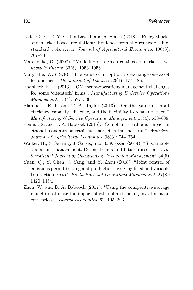- Lade, G. E., C.-Y. C. Lin Lawell, and A. Smith (2018). "Policy shocks and market-based regulations: Evidence from the renewable fuel standard". *American Journal of Agricultural Economics*. 100(3): 707–731.
- Marchenko, O. (2008). "Modeling of a green certificate market". *Renewable Energy*. 33(8): 1953–1958.
- Margrabe, W. (1978). "The value of an option to exchange one asset for another". *The Journal of Finance*. 33(1): 177–186.
- Plambeck, E. L. (2013). "OM forum-operations management challenges for some 'cleantech' firms". *Manufacturing & Service Operations Management*. 15(4): 527–536.
- Plambeck, E. L. and T. A. Taylor (2013). "On the value of input efficiency, capacity efficiency, and the flexibility to rebalance them". *Manufacturing & Service Operations Management*. 15(4): 630–639.
- Pouliot, S. and B. A. Babcock (2015). "Compliance path and impact of ethanol mandates on retail fuel market in the short run". *American Journal of Agricultural Economics*. 98(3): 744–764.
- Walker, H., S. Seuring, J. Sarkis, and R. Klassen (2014). "Sustainable operations management: Recent trends and future directions". *International Journal of Operations & Production Management*. 34(5).
- Yuan, Q., Y. Chen, J. Yang, and Y. Zhou (2018). "Joint control of emissions permit trading and production involving fixed and variable transaction costs". *Production and Operations Management*. 27(8): 1420–1454.
- Zhou, W. and B. A. Babcock (2017). "Using the competitive storage model to estimate the impact of ethanol and fueling investment on corn prices". *Energy Economics*. 62: 195–203.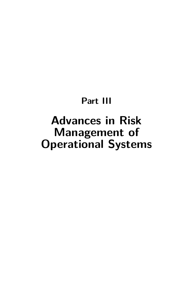# **Part III**

# <span id="page-32-0"></span>**Advances in Risk Management of Operational Systems**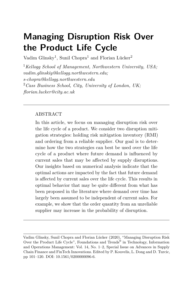# <span id="page-33-0"></span>**Managing Disruption Risk Over the Product Life Cycle**

Vadim Glinsky<sup>1</sup>, Sunil Chopra<sup>1</sup> and Florian Lücker<sup>2</sup>

<sup>1</sup>*Kellogg School of Management, Northwestern University, USA; vadim.glinskiy@kellogg.northwestern.edu; s-chopra@kellogg.northwestern.edu* <sup>2</sup>*Cass Business School, City, University of London, UK; florian.lucker@city.ac.uk*

### ABSTRACT

In this article, we focus on managing disruption risk over the life cycle of a product. We consider two disruption mitigation strategies: holding risk mitigation inventory (RMI) and ordering from a reliable supplier. Our goal is to determine how the two strategies can best be used over the life cycle of a product where future demand is influenced by current sales that may be affected by supply disruptions. Our insights based on numerical analysis indicate that the optimal actions are impacted by the fact that future demand is affected by current sales over the life cycle. This results in optimal behavior that may be quite different from what has been proposed in the literature where demand over time has largely been assumed to be independent of current sales. For example, we show that the order quantity from an unreliable supplier may increase in the probability of disruption.

Vadim Glinsky, Sunil Chopra and Florian Lücker (2020), "Managing Disruption Risk Over the Product Life Cycle", Foundations and Trends<sup>®</sup> in Technology, Information and Operations Management: Vol. 14, No. 1–2, Special Issue on Advances in Supply Chain Finance and FinTech Innovations. Edited by P. Kouvelis, L. Dong and D. Turcic, pp 101–120. DOI: 10.1561/0200000096-6.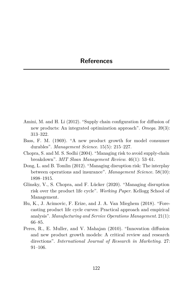- Amini, M. and H. Li (2012). "Supply chain configuration for diffusion of new products: An integrated optimization approach". *Omega*. 39(3): 313–322.
- Bass, F. M. (1969). "A new product growth for model consumer durables". *Management Science*. 15(5): 215–227.
- Chopra, S. and M. S. Sodhi (2004). "Managing risk to avoid supply-chain breakdown". *MIT Sloan Management Review*. 46(1): 53–61.
- Dong, L. and B. Tomlin (2012). "Managing disruption risk: The interplay between operations and insurance". *Management Science*. 58(10): 1898–1915.
- Glinsky, V., S. Chopra, and F. Lücker (2020). "Managing disruption risk over the product life cycle". *Working Paper*. Kellogg School of Management.
- Hu, K., J. Acimovic, F. Erize, and J. A. Van Mieghem (2018). "Forecasting product life cycle curves: Practical approach and empirical analysis". *Manufacturing and Service Operations Management*. 21(1): 66–85.
- Peres, R., E. Muller, and V. Mahajan (2010). "Innovation diffusion and new product growth models: A critical review and research directions". *International Journal of Research in Marketing*. 27: 91–106.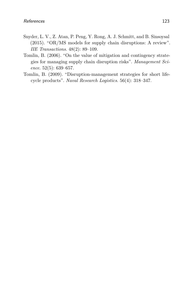- Snyder, L. V., Z. Atan, P. Peng, Y. Rong, A. J. Schmitt, and B. Sinsoysal (2015). "OR/MS models for supply chain disruptions: A review". *IIE Transactions*. 48(2): 89–109.
- Tomlin, B. (2006). "On the value of mitigation and contingency strategies for managing supply chain disruption risks". *Management Science*. 52(5): 639–657.
- Tomlin, B. (2009). "Disruption-management strategies for short lifecycle products". *Naval Research Logistics*. 56(4): 318–347.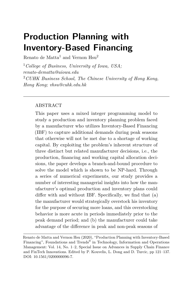# <span id="page-36-0"></span>**Production Planning with Inventory-Based Financing**

Renato de Matta<sup>1</sup> and Vernon  $Hsu<sup>2</sup>$ 

<sup>1</sup>*College of Business, University of Iowa, USA; renato-dematta@uiowa.edu* <sup>2</sup>*CUHK Business School, The Chinese University of Hong Kong, Hong Kong; vhsu@cuhk.edu.hk*

### ABSTRACT

This paper uses a mixed integer programming model to study a production and inventory planning problem faced by a manufacturer who utilizes Inventory-Based Financing (IBF) to capture additional demands during peak seasons that otherwise will not be met due to a shortage of working capital. By exploiting the problem's inherent structure of three distinct but related manufacturer decisions, i.e., the production, financing and working capital allocation decisions, the paper develops a branch-and-bound procedure to solve the model which is shown to be NP-hard. Through a series of numerical experiments, our study provides a number of interesting managerial insights into how the manufacturer's optimal production and inventory plans could differ with and without IBF. Specifically, we find that (a) the manufacturer would strategically overstock his inventory for the purpose of securing more loans, and this overstocking behavior is more acute in periods immediately prior to the peak demand period; and (b) the manufacturer could take advantage of the difference in peak and non-peak seasons of

Renato de Matta and Vernon Hsu (2020), "Production Planning with Inventory-Based Financing", Foundations and Trends<sup>®</sup> in Technology, Information and Operations Management: Vol. 14, No. 1–2, Special Issue on Advances in Supply Chain Finance and FinTech Innovations. Edited by P. Kouvelis, L. Dong and D. Turcic, pp 121–137. DOI: 10.1561/0200000096-7.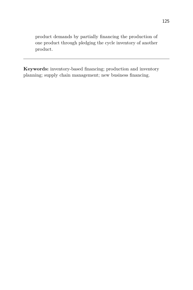product demands by partially financing the production of one product through pledging the cycle inventory of another product.

**Keywords:** inventory-based financing; production and inventory planning; supply chain management; new business financing.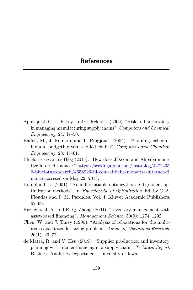- Applequist, G., J. Pekny, and G. Reklaitis (2000). "Risk and uncertainty in managing manufacturing supply chains". *Computers and Chemical Engineering*. 24: 47–50.
- Badell, M., J. Romero, and L. Puigjaner (2004). "Planning, scheduling and budgeting value-added chains". *Computers and Chemical Engineering*. 28: 45–61.
- Bluelotusresearch's Blog (2015). "How does JD.com and Alibaba monetize internet finance?" https://seekingalpha.com/instablog/4472435 6-bluelotusresearch/4658926-jd-com-alibaba-monetize-internet-fi nance accessed on May 22, 2018.
- Brännlund, U. (2001). "Nondifferentiable optimization: Subgradient optimization methods". In: *Encyclopedia of Optimization*. Ed. by C. A. Floudas and P. M. Pardalos. Vol. 4. Kluwer Academic Publishers. 67–69.
- Buzacott, J. A. and R. Q. Zhang (2004). "Inventory management with asset-based financing". *Management Science*. 50(9): 1274–1292.
- Chen, W. and J. Thizy (1990). "Analysis of relaxations for the multiitem capacitated lot-sizing problem". *Annals of Operations Research*.  $26(1): 29 - 72.$
- de Matta, R. and V. Hsu (2019). "Supplier production and inventory planning with retailer financing in a supply chain". *Technical Report*. Business Analytics Department, University of Iowa.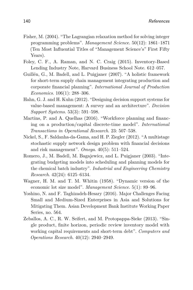- Fisher, M. (2004). "The Lagrangian relaxation method for solving integer programming problems". *Management Science*. 50(12): 1861–1871 (Ten Most Influential Titles of "Management Science's" First Fifty Years).
- Foley, C. F., A. Raman, and N. C. Craig (2015). Inventory-Based Lending Industry Note, Harvard Business School Note. 612–057.
- Guillén, G., M. Badell, and L. Puigjaner (2007). "A holistic framework for short-term supply chain management integrating production and corporate financial planning". *International Journal of Production Economics*. 106(1): 288–306.
- Hahn, G. J. and H. Kuhn (2012). "Designing decision support systems for value-based management: A survey and an architecture". *Decision Support Systems*. 53(3): 591–598.
- Martins, P. and A. Quelhas (2016). "Workforce planning and financing on a production/capital discrete-time model". *International Transactions in Operational Research*. 23: 507–538.
- Nickel, S., F. Saldanha-da-Gama, and H. P. Ziegler (2012). "A multistage stochastic supply network design problem with financial decisions and risk management". *Omega*. 40(5): 511–524.
- Romero, J., M. Badell, M. Bagajewicz, and L. Puigjaner (2003). "Integrating budgeting models into scheduling and planning models for the chemical batch industry". *Industrial and Engineering Chemistry Research*. 42(24): 6125–6134.
- Wagner, H. M. and T. M. Whitin (1958). "Dynamic version of the economic lot size model". *Management Science*. 5(1): 89–96.
- Yoshino, N. and F. Taghizadeh-Hesary (2016). Major Challenges Facing Small and Medium-Sized Enterprises in Asia and Solutions for Mitigating Them. Asian Development Bank Institute Working Paper Series, no. 564.
- Zeballos, A. C., R. W. Seifert, and M. Protopappa-Sieke (2013). "Single product, finite horizon, periodic review inventory model with working capital requirements and short-term debt". *Computers and Operations Research*. 40(12): 2940–2949.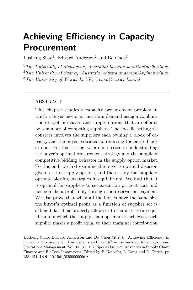# <span id="page-40-0"></span>**Achieving Efficiency in Capacity Procurement**

Lusheng Shao<sup>1</sup>, Edward Anderson<sup>2</sup> and Bo Chen<sup>3</sup>

<sup>1</sup>*The University of Melbourne, Australia; lusheng.shao@unimelb.edu.au* <sup>2</sup>*The University of Sydney, Australia; edward.anderson@sydney.edu.au* <sup>3</sup>*The University of Warwick, UK; b.chen@warwick.ac.uk*

### ABSTRACT

This chapter studies a capacity procurement problem in which a buyer meets an uncertain demand using a combination of spot purchases and supply options that are offered by a number of competing suppliers. The specific setting we consider involves the suppliers each owning a block of capacity and the buyer restricted to reserving the entire block or none. For this setting, we are interested in understanding the buyer's optimal procurement strategy and the suppliers' competitive bidding behavior in the supply option market. To this end, we first examine the buyer's optimal decision given a set of supply options, and then study the suppliers' optimal bidding strategies in equilibrium. We find that it is optimal for suppliers to set execution price at cost and hence make a profit only through the reservation payment. We also prove that when all the blocks have the same size the buyer's optimal profit as a function of supplier set is submodular. This property allows us to characterize an equilibrium in which the supply chain optimum is achieved, each supplier makes a profit equal to their marginal contribution

Lusheng Shao, Edward Anderson and Bo Chen (2020), "Achieving Efficiency in Capacity Procurement", Foundations and Trends® in Technology, Information and Operations Management: Vol. 14, No. 1–2, Special Issue on Advances in Supply Chain Finance and FinTech Innovations. Edited by P. Kouvelis, L. Dong and D. Turcic, pp 138–154. DOI: 10.1561/0200000096-8.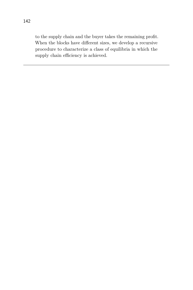to the supply chain and the buyer takes the remaining profit. When the blocks have different sizes, we develop a recursive procedure to characterize a class of equilibria in which the supply chain efficiency is achieved.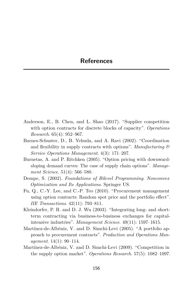- Anderson, E., B. Chen, and L. Shao (2017). "Supplier competition with option contracts for discrete blocks of capacity". *Operations Research*. 65(4): 952–967.
- Barnes-Schuster, D., B. Yehuda, and A. Ravi (2002). "Coordination and flexibility in supply contracts with options". *Manufacturing & Service Operations Management*. 4(3): 171–207.
- Burnetas, A. and P. Ritchken (2005). "Option pricing with downwardsloping demand curves: The case of supply chain options". *Management Science*. 51(4): 566–580.
- Dempe, S. (2002). *Foundations of Bilevel Programming*. *Nonconvex Optimization and Its Applications*. Springer US.
- Fu, Q., C.-Y. Lee, and C.-P. Teo (2010). "Procurement management using option contracts: Random spot price and the portfolio effect". *IIE Transactions*. 42(11): 793–811.
- Kleindorfer, P. R. and D. J. Wu (2003). "Integrating long- and shortterm contracting via business-to-business exchanges for capitalintensive industries". *Management Science*. 49(11): 1597–1615.
- Martínez-de-Albéniz, V. and D. Simchi-Levi (2005). "A portfolio approach to procurement contracts". *Production and Operations Management*. 14(1): 90–114.
- Martínez-de-Albéniz, V. and D. Simchi-Levi (2009). "Competition in the supply option market". *Operations Research*. 57(5): 1082–1097.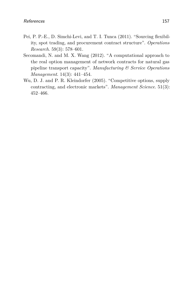- Pei, P. P.-E., D. Simchi-Levi, and T. I. Tunca (2011). "Sourcing flexibility, spot trading, and procurement contract structure". *Operations Research*. 59(3): 578–601.
- Secomandi, N. and M. X. Wang (2012). "A computational approach to the real option management of network contracts for natural gas pipeline transport capacity". *Manufacturing & Service Operations Management*. 14(3): 441–454.
- Wu, D. J. and P. R. Kleindorfer (2005). "Competitive options, supply contracting, and electronic markets". *Management Science*. 51(3): 452–466.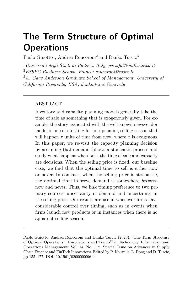# <span id="page-44-0"></span>**The Term Structure of Optimal Operations**

Paolo Guiotto<sup>1</sup>, Andrea Roncoroni<sup>2</sup> and Danko Turcic<sup>3</sup>

*Università degli Studi di Padova, Italy; parsifal@math.unipd.it ESSEC Business School, France; roncoroni@essec.fr A. Gary Anderson Graduate School of Management, University of California Riverside, USA; danko.turcic@ucr.edu*

### ABSTRACT

Inventory and capacity planning models generally take the time of sale as something that is exogenously given. For example, the story associated with the well-known newsvendor model is one of stocking for an upcoming selling season that will happen *x* units of time from now, where *x* is exogenous. In this paper, we re-visit the capacity planning decision by assuming that demand follows a stochastic process and study what happens when both the time of sale and capacity are decisions. When the selling price is fixed, our baseline case, we find that the optimal time to sell is either now or never. In contrast, when the selling price is stochastic, the optimal time to serve demand is somewhere *between* now and never. Thus, we link timing preference to two primary sources: uncertainty in demand and uncertainty in the selling price. Our results are useful whenever firms have considerable control over timing, such as in events when firms launch new products or in instances when there is no apparent selling season.

Paolo Guiotto, Andrea Roncoroni and Danko Turcic (2020), "The Term Structure of Optimal Operations", Foundations and Trends® in Technology, Information and Operations Management: Vol. 14, No. 1–2, Special Issue on Advances in Supply Chain Finance and FinTech Innovations. Edited by P. Kouvelis, L. Dong and D. Turcic, pp 155–177. DOI: 10.1561/0200000096-9.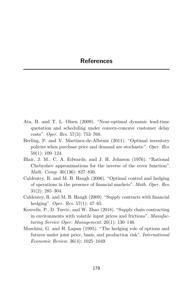- Ata, B. and T. L. Olsen (2009). "Near-optimal dynamic lead-time quotation and scheduling under convex-concave customer delay costs". *Oper. Res.* 57(3): 753–768.
- Berling, P. and V. Martínez-de-Albéniz (2011). "Optimal inventory policies when purchase price and demand are stochastic". *Oper. Res.* 59(1): 109–124.
- Blair, J. M., C. A. Edwards, and J. H. Johnson (1976). "Rational Chebyshev approximations for the inverse of the error function". *Math. Comp.* 30(136): 827–830.
- Caldentey, R. and M. B. Haugh (2006). "Optimal control and hedging of operations in the presence of financial markets". *Math. Oper. Res.* 31(2): 285–304.
- Caldentey, R. and M. B. Haugh (2009). "Supply contracts with financial hedging". *Oper. Res.* 57(1): 47–65.
- Kouvelis, P., D. Turcic, and W. Zhao (2018). "Supply chain contracting in environments with volatile input prices and frictions". *Manufacturing Service Oper. Management*. 20(1): 130–146.
- Moschini, G. and H. Lapan (1995). "The hedging role of options and futures under joint price, basis, and production risk". *International Economic Review*. 36(4): 1025–1049.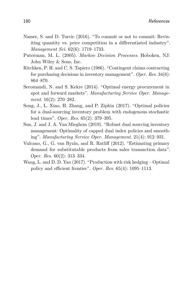- Nasser, S. and D. Turcic (2016). "To commit or not to commit: Revisiting quantity vs. price competition in a differentiated industry". *Management Sci.* 62(6): 1719–1733.
- Puterman, M. L. (2005). *Markov Decision Processes*. Hoboken, NJ: John Wiley & Sons, Inc.
- Ritchken, P. H. and C. S. Tapiero (1986). "Contingent claims contracting for purchasing decisions in inventory management". *Oper. Res.* 34(6): 864–870.
- Secomandi, N. and S. Kekre (2014). "Optimal energy procurement in spot and forward markets". *Manufacturing Service Oper. Management*. 16(2): 270–282.
- Song, J., L. Xiao, H. Zhang, and P. Zipkin (2017). "Optimal policies for a dual-sourcing inventory problem with endogenous stochastic lead times". *Oper. Res.* 65(2): 379–395.
- Sun, J. and J. A. Van Mieghem (2019). "Robust dual sourcing inventory management: Optimality of capped dual index policies and smoothing". *Manufacturing Service Oper. Management*. 21(4): 912–931.
- Vulcano, G., G. van Ryzin, and R. Ratliff (2012). "Estimating primary demand for substitutable products from sales transaction data". *Oper. Res.* 60(2): 313–334.
- Wang, L. and D. D. Yao (2017). "Production with risk hedging—Optimal policy and efficient frontier". *Oper. Res.* 65(4): 1095–1113.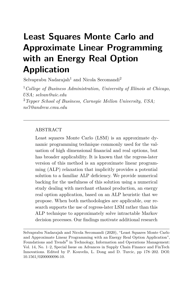# <span id="page-47-0"></span>**Least Squares Monte Carlo and Approximate Linear Programming with an Energy Real Option Application**

Selvaprabu Nadarajah<sup>1</sup> and Nicola Secomandi<sup>2</sup>

<sup>1</sup>*College of Business Administration, University of Illinois at Chicago, USA; selvan@uic.edu* <sup>2</sup>*Tepper School of Business, Carnegie Mellon University, USA; ns7@andrew.cmu.edu*

### ABSTRACT

Least squares Monte Carlo (LSM) is an approximate dynamic programming technique commonly used for the valuation of high dimensional financial and real options, but has broader applicability. It is known that the regress-later version of this method is an approximate linear programming (ALP) relaxation that implicitly provides a potential solution to a familiar ALP deficiency. We provide numerical backing for the usefulness of this solution using a numerical study dealing with merchant ethanol production, an energy real option application, based on an ALP heuristic that we propose. When both methodologies are applicable, our research supports the use of regress-later LSM rather than this ALP technique to approximately solve intractable Markov decision processes. Our findings motivate additional research

Selvaprabu Nadarajah and Nicola Secomandi (2020), "Least Squares Monte Carlo and Approximate Linear Programming with an Energy Real Option Application", Foundations and Trends<sup>®</sup> in Technology, Information and Operations Management: Vol. 14, No. 1–2, Special Issue on Advances in Supply Chain Finance and FinTech Innovations. Edited by P. Kouvelis, L. Dong and D. Turcic, pp 178–202. DOI: 10.1561/0200000096-10.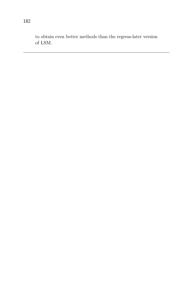to obtain even better methods than the regress-later version of LSM.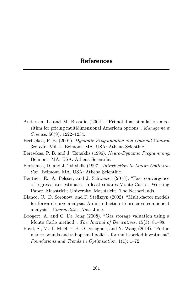- Andersen, L. and M. Broadie (2004). "Primal-dual simulation algorithm for pricing multidimensional American options". *Management Science*. 50(9): 1222–1234.
- Bertsekas, P. B. (2007). *Dynamic Programming and Optimal Control*. 3rd edn. Vol. 2. Belmont, MA, USA: Athena Scientific.
- Bertsekas, P. B. and J. Tsitsiklis (1996). *Neuro-Dynamic Programming*. Belmont, MA, USA: Athena Scientific.
- Bertsimas, D. and J. Tsitsiklis (1997). *Introduction to Linear Optimization*. Belmont, MA, USA: Athena Scientific.
- Beutner, E., A. Pelsser, and J. Schweizer (2013). "Fast convergence of regress-later estimates in least squares Monte Carlo". Working Paper, Maastricht University, Maastricht, The Netherlands.
- Blanco, C., D. Soronow, and P. Stefiszyn (2002). "Multi-factor models for forward curve analysis: An introduction to principal component analysis". *Commodities Now*. June.
- Boogert, A. and C. De Jong (2008). "Gas storage valuation using a Monte Carlo method". *The Journal of Derivatives*. 15(3): 81–98.
- Boyd, S., M. T. Mueller, B. O'Donoghue, and Y. Wang (2014). "Performance bounds and suboptimal policies for multi-period investment". *Foundations and Trends in Optimization*. 1(1): 1–72.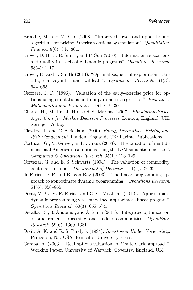- Broadie, M. and M. Cao (2008). "Improved lower and upper bound algorithms for pricing American options by simulation". *Quantitative Finance*. 8(8): 845–861.
- Brown, D. B., J. E. Smith, and P. Sun (2010). "Information relaxations and duality in stochastic dynamic programs". *Operations Research*. 58(4): 1–17.
- Brown, D. and J. Smith (2013). "Optimal sequential exploration: Bandits, clairvoyants, and wildcats". *Operations Research*. 61(3): 644–665.
- Carriere, J. F. (1996). "Valuation of the early-exercise price for options using simulations and nonparametric regression". *Insurance: Mathematics and Economics*. 19(1): 19–30.
- Chang, H., M. Fu, J. Hu, and S. Marcus (2007). *Simulation-Based Algorithms for Markov Decision Processes*. London, England, UK: Springer-Verlag.
- Clewlow, L. and C. Strickland (2000). *Energy Derivatives: Pricing and Risk Management*. London, England, UK: Lacima Publications.
- Cortazar, G., M. Gravet, and J. Urzua (2008). "The valuation of multidimensional American real options using the LSM simulation method". *Computers & Operations Research*. 35(1): 113–129.
- Cortazar, G. and E. S. Schwartz (1994). "The valuation of commodity contingent claims". *The Journal of Derivatives*. 1(4): 27–39.
- de Farias, D. P. and B. Van Roy (2003). "The linear programming approach to approximate dynamic programming". *Operations Research*. 51(6): 850–865.
- Desai, V. V., V. F. Farias, and C. C. Moallemi (2012). "Approximate dynamic programming via a smoothed approximate linear program". *Operations Research*. 60(3): 655–674.
- Devalkar, S., R. Anupindi, and A. Sinha (2011). "Integrated optimization of procurement, processing, and trade of commodities". *Operations Research*. 59(6): 1369–1381.
- Dixit, A. K. and R. S. Pindyck (1994). *Investment Under Uncertainty*. Princeton, NJ, USA: Princeton University Press.
- Gamba, A. (2003). "Real options valuation: A Monte Carlo approach". Working Paper, University of Warwick, Coventry, England, UK.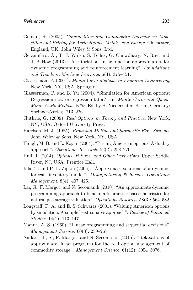- Geman, H. (2005). *Commodities and Commodity Derivatives: Modelling and Pricing for Agriculturals, Metals, and Energy*. Chichester, England, UK: John Wiley & Sons, Ltd.
- Geramifard, A., T. J. Walsh, S. Tellex, G. Chowdhary, N. Roy, and J. P. How (2013). "A tutorial on linear function approximators for dynamic programming and reinforcement learning". *Foundations and Trends in Machine Learning*. 6(4): 375–451.
- Glasserman, P. (2004). *Monte Carlo Methods in Financial Engineering*. New York, NY, USA: Springer.
- Glasserman, P. and B. Yu (2004). "Simulation for American options: Regression now or regression later?" In: *Monte Carlo and Quasi-Monte Carlo Methods 2002*. Ed. by H. Niederreiter. Berlin, Germany: Springer-Verlag. 213–226.
- Guthrie, G. (2009). *Real Options in Theory and Practice*. New York, NY, USA: Oxford University Press.
- Harrison, M. J. (1985). *Brownian Motion and Stochastic Flow Systems*. John Wiley & Sons, New York, NY, USA.
- Haugh, M. B. and L. Kogan (2004). "Pricing American options: A duality approach". *Operations Research*. 52(2): 258–270.
- Hull, J. (2014). *Options, Futures, and Other Derivatives*. Upper Saddle River, NJ, USA: Prentice Hall.
- Iida, T. and P. H. Zipkin (2006). "Approximate solutions of a dynamic forecast-inventory model". *Manufacturing & Service Operations Management*. 8(4): 407–425.
- Lai, G., F. Margot, and N. Secomandi (2010). "An approximate dynamic programming approach to benchmark practice-based heuristics for natural gas storage valuation". *Operations Research*. 58(3): 564–582.
- Longstaff, F. A. and E. S. Schwartz (2001). "Valuing American options by simulation: A simple least-squares approach". *Review of Financial Studies*. 14(1): 113–147.
- Manne, A. S. (1960). "Linear programming and sequential decisions". *Management Science*. 60(3): 259–267.
- Nadarajah, S., F. Margot, and N. Secomandi (2015). "Relaxations of approximate linear programs for the real option management of commodity storage". *Management Science*. 61(12): 3054–3076.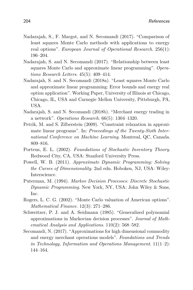- Nadarajah, S., F. Margot, and N. Secomandi (2017). "Comparison of least squares Monte Carlo methods with applications to energy real options". *European Journal of Operational Research*. 256(1): 196–204.
- Nadarajah, S. and N. Secomandi (2017). "Relationship between least squares Monte Carlo and approximate linear programming". *Operations Research Letters*. 45(5): 409–414.
- Nadarajah, S. and N. Secomandi (2018a). "Least squares Monte Carlo and approximate linear programming: Error bounds and energy real option application". Working Paper, University of Illinois at Chicago, Chicago, IL, USA and Carnegie Mellon University, Pittsburgh, PA, USA.
- Nadarajah, S. and N. Secomandi (2018b). "Merchant energy trading in a network". *Operations Research*. 66(5): 1304–1320.
- Petrik, M. and S. Zilberstein (2009). "Constraint relaxation in approximate linear programs". In: *Proceedings of the Twenty-Sixth International Conference on Machine Learning*. Montreal, QC, Canada. 809–816.
- Porteus, E. L. (2002). *Foundations of Stochastic Inventory Theory*. Redwood City, CA, USA: Stanford University Press.
- Powell, W. B. (2011). *Approximate Dynamic Programming: Solving the Curses of Dimensionality*. 2nd edn. Hoboken, NJ, USA: Wiley-Interscience.
- Puterman, M. (1994). *Markov Decision Processes: Discrete Stochastic Dynamic Programming*. New York, NY, USA: John Wiley & Sons, Inc.
- Rogers, L. C. G. (2002). "Monte Carlo valuation of American options". *Mathematical Finance*. 12(3): 271–286.
- Schweitzer, P. J. and A. Seidmann (1985). "Generalized polynomial approximations in Markovian decision processes". *Journal of Mathematical Analysis and Applications*. 110(2): 568–582.
- Secomandi, N. (2017). "Approximations for high dimensional commodity and energy merchant operations models". *Foundations and Trends in Technology, Information and Operations Management*. 11(1–2): 144–164.